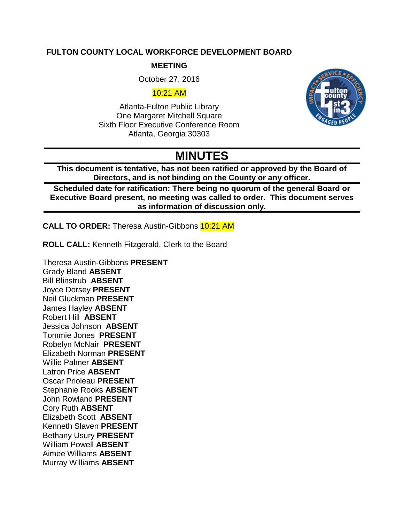#### **FULTON COUNTY LOCAL WORKFORCE DEVELOPMENT BOARD**

#### **MEETING**

October 27, 2016

#### 10:21 AM

Atlanta-Fulton Public Library One Margaret Mitchell Square Sixth Floor Executive Conference Room Atlanta, Georgia 30303



# **MINUTES**

**This document is tentative, has not been ratified or approved by the Board of Directors, and is not binding on the County or any officer.**

**Scheduled date for ratification: There being no quorum of the general Board or Executive Board present, no meeting was called to order. This document serves as information of discussion only.** 

**CALL TO ORDER:** Theresa Austin-Gibbons 10:21 AM

**ROLL CALL:** Kenneth Fitzgerald, Clerk to the Board

Theresa Austin-Gibbons **PRESENT** Grady Bland **ABSENT** Bill Blinstrub **ABSENT** Joyce Dorsey **PRESENT** Neil Gluckman **PRESENT** James Hayley **ABSENT** Robert Hill **ABSENT** Jessica Johnson **ABSENT** Tommie Jones **PRESENT** Robelyn McNair **PRESENT** Elizabeth Norman **PRESENT** Willie Palmer **ABSENT** Latron Price **ABSENT** Oscar Prioleau **PRESENT** Stephanie Rooks **ABSENT** John Rowland **PRESENT** Cory Ruth **ABSENT** Elizabeth Scott **ABSENT** Kenneth Slaven **PRESENT** Bethany Usury **PRESENT** William Powell **ABSENT** Aimee Williams **ABSENT** Murray Williams **ABSENT**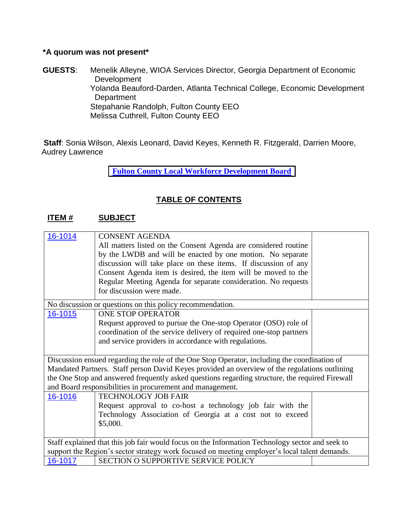## **\*A quorum was not present\***

**GUESTS**: Menelik Alleyne, WIOA Services Director, Georgia Department of Economic Development Yolanda Beauford-Darden, Atlanta Technical College, Economic Development **Department** Stepahanie Randolph, Fulton County EEO Melissa Cuthrell, Fulton County EEO

**Staff**: Sonia Wilson, Alexis Leonard, David Keyes, Kenneth R. Fitzgerald, Darrien Moore, Audrey Lawrence

**[Fulton](http://agendaminutes.fultoncountyga.gov/sirepub/agdocs.aspx?doctype=minutes&itemid=30105) County Local Workforce Development Board**

## **TABLE OF CONTENTS**

## **ITEM # SUBJECT**

| 16-1014                                                                                         | <b>CONSENT AGENDA</b>                                                                         |  |  |  |
|-------------------------------------------------------------------------------------------------|-----------------------------------------------------------------------------------------------|--|--|--|
|                                                                                                 | All matters listed on the Consent Agenda are considered routine                               |  |  |  |
|                                                                                                 | by the LWDB and will be enacted by one motion. No separate                                    |  |  |  |
|                                                                                                 | discussion will take place on these items. If discussion of any                               |  |  |  |
|                                                                                                 | Consent Agenda item is desired, the item will be moved to the                                 |  |  |  |
|                                                                                                 | Regular Meeting Agenda for separate consideration. No requests                                |  |  |  |
|                                                                                                 | for discussion were made.                                                                     |  |  |  |
| No discussion or questions on this policy recommendation.                                       |                                                                                               |  |  |  |
| 16-1015                                                                                         | <b>ONE STOP OPERATOR</b>                                                                      |  |  |  |
|                                                                                                 | Request approved to pursue the One-stop Operator (OSO) role of                                |  |  |  |
|                                                                                                 | coordination of the service delivery of required one-stop partners                            |  |  |  |
|                                                                                                 | and service providers in accordance with regulations.                                         |  |  |  |
|                                                                                                 |                                                                                               |  |  |  |
|                                                                                                 | Discussion ensued regarding the role of the One Stop Operator, including the coordination of  |  |  |  |
|                                                                                                 | Mandated Partners. Staff person David Keyes provided an overview of the regulations outlining |  |  |  |
| the One Stop and answered frequently asked questions regarding structure, the required Firewall |                                                                                               |  |  |  |
|                                                                                                 | and Board responsibilities in procurement and management.                                     |  |  |  |
| 16-1016                                                                                         | <b>TECHNOLOGY JOB FAIR</b>                                                                    |  |  |  |
|                                                                                                 | Request approval to co-host a technology job fair with the                                    |  |  |  |
|                                                                                                 | Technology Association of Georgia at a cost not to exceed                                     |  |  |  |
|                                                                                                 | \$5,000.                                                                                      |  |  |  |
|                                                                                                 |                                                                                               |  |  |  |
| Staff explained that this job fair would focus on the Information Technology sector and seek to |                                                                                               |  |  |  |
| support the Region's sector strategy work focused on meeting employer's local talent demands.   |                                                                                               |  |  |  |
| 16-1017                                                                                         | SECTION O SUPPORTIVE SERVICE POLICY                                                           |  |  |  |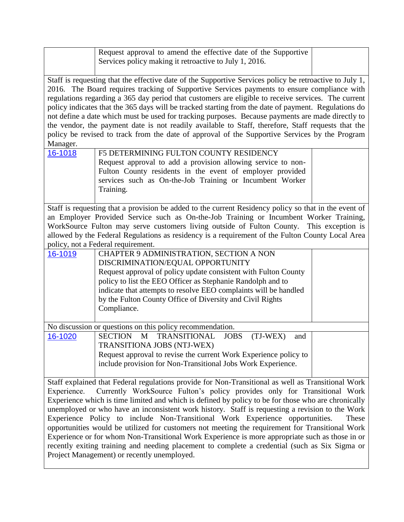|                                                                                                                                                                                                                                                                                                                                                                                                                                                                                                                                                                                                                                                                                                                                                                                                                                                         | Request approval to amend the effective date of the Supportive<br>Services policy making it retroactive to July 1, 2016.                                                                                                                                                                                                                                      |  |  |  |
|---------------------------------------------------------------------------------------------------------------------------------------------------------------------------------------------------------------------------------------------------------------------------------------------------------------------------------------------------------------------------------------------------------------------------------------------------------------------------------------------------------------------------------------------------------------------------------------------------------------------------------------------------------------------------------------------------------------------------------------------------------------------------------------------------------------------------------------------------------|---------------------------------------------------------------------------------------------------------------------------------------------------------------------------------------------------------------------------------------------------------------------------------------------------------------------------------------------------------------|--|--|--|
| Staff is requesting that the effective date of the Supportive Services policy be retroactive to July 1,<br>2016. The Board requires tracking of Supportive Services payments to ensure compliance with<br>regulations regarding a 365 day period that customers are eligible to receive services. The current<br>policy indicates that the 365 days will be tracked starting from the date of payment. Regulations do<br>not define a date which must be used for tracking purposes. Because payments are made directly to<br>the vendor, the payment date is not readily available to Staff, therefore, Staff requests that the<br>policy be revised to track from the date of approval of the Supportive Services by the Program<br>Manager.                                                                                                          |                                                                                                                                                                                                                                                                                                                                                               |  |  |  |
| 16-1018                                                                                                                                                                                                                                                                                                                                                                                                                                                                                                                                                                                                                                                                                                                                                                                                                                                 | F5 DETERMINING FULTON COUNTY RESIDENCY<br>Request approval to add a provision allowing service to non-<br>Fulton County residents in the event of employer provided<br>services such as On-the-Job Training or Incumbent Worker<br>Training.                                                                                                                  |  |  |  |
| Staff is requesting that a provision be added to the current Residency policy so that in the event of<br>an Employer Provided Service such as On-the-Job Training or Incumbent Worker Training,<br>WorkSource Fulton may serve customers living outside of Fulton County. This exception is<br>allowed by the Federal Regulations as residency is a requirement of the Fulton County Local Area<br>policy, not a Federal requirement.                                                                                                                                                                                                                                                                                                                                                                                                                   |                                                                                                                                                                                                                                                                                                                                                               |  |  |  |
| 16-1019                                                                                                                                                                                                                                                                                                                                                                                                                                                                                                                                                                                                                                                                                                                                                                                                                                                 | CHAPTER 9 ADMINISTRATION, SECTION A NON<br>DISCRIMINATION/EQUAL OPPORTUNITY<br>Request approval of policy update consistent with Fulton County<br>policy to list the EEO Officer as Stephanie Randolph and to<br>indicate that attempts to resolve EEO complaints will be handled<br>by the Fulton County Office of Diversity and Civil Rights<br>Compliance. |  |  |  |
| 16-1020                                                                                                                                                                                                                                                                                                                                                                                                                                                                                                                                                                                                                                                                                                                                                                                                                                                 | No discussion or questions on this policy recommendation.<br>M<br>SECTION<br><b>TRANSITIONAL</b><br><b>JOBS</b><br>(TJ-WEX)                                                                                                                                                                                                                                   |  |  |  |
|                                                                                                                                                                                                                                                                                                                                                                                                                                                                                                                                                                                                                                                                                                                                                                                                                                                         | and<br>TRANSITIONA JOBS (NTJ-WEX)<br>Request approval to revise the current Work Experience policy to<br>include provision for Non-Transitional Jobs Work Experience.                                                                                                                                                                                         |  |  |  |
| Staff explained that Federal regulations provide for Non-Transitional as well as Transitional Work<br>Currently WorkSource Fulton's policy provides only for Transitional Work<br>Experience.<br>Experience which is time limited and which is defined by policy to be for those who are chronically<br>unemployed or who have an inconsistent work history. Staff is requesting a revision to the Work<br>Experience Policy to include Non-Transitional Work Experience opportunities.<br>These<br>opportunities would be utilized for customers not meeting the requirement for Transitional Work<br>Experience or for whom Non-Transitional Work Experience is more appropriate such as those in or<br>recently exiting training and needing placement to complete a credential (such as Six Sigma or<br>Project Management) or recently unemployed. |                                                                                                                                                                                                                                                                                                                                                               |  |  |  |